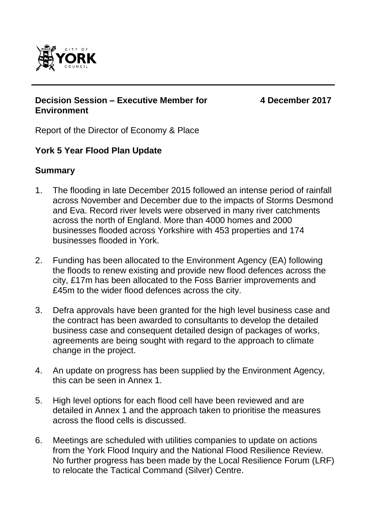

#### **Decision Session – Executive Member for Environment**

**4 December 2017**

Report of the Director of Economy & Place

## **York 5 Year Flood Plan Update**

### **Summary**

- 1. The flooding in late December 2015 followed an intense period of rainfall across November and December due to the impacts of Storms Desmond and Eva. Record river levels were observed in many river catchments across the north of England. More than 4000 homes and 2000 businesses flooded across Yorkshire with 453 properties and 174 businesses flooded in York.
- 2. Funding has been allocated to the Environment Agency (EA) following the floods to renew existing and provide new flood defences across the city, £17m has been allocated to the Foss Barrier improvements and £45m to the wider flood defences across the city.
- 3. Defra approvals have been granted for the high level business case and the contract has been awarded to consultants to develop the detailed business case and consequent detailed design of packages of works, agreements are being sought with regard to the approach to climate change in the project.
- 4. An update on progress has been supplied by the Environment Agency, this can be seen in Annex 1.
- 5. High level options for each flood cell have been reviewed and are detailed in Annex 1 and the approach taken to prioritise the measures across the flood cells is discussed.
- 6. Meetings are scheduled with utilities companies to update on actions from the York Flood Inquiry and the National Flood Resilience Review. No further progress has been made by the Local Resilience Forum (LRF) to relocate the Tactical Command (Silver) Centre.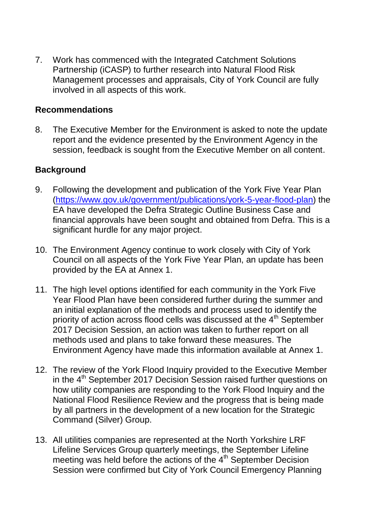7. Work has commenced with the Integrated Catchment Solutions Partnership (iCASP) to further research into Natural Flood Risk Management processes and appraisals, City of York Council are fully involved in all aspects of this work.

### **Recommendations**

8. The Executive Member for the Environment is asked to note the update report and the evidence presented by the Environment Agency in the session, feedback is sought from the Executive Member on all content.

### **Background**

- 9. Following the development and publication of the York Five Year Plan [\(https://www.gov.uk/government/publications/york-5-year-flood-plan\)](https://www.gov.uk/government/publications/york-5-year-flood-plan) the EA have developed the Defra Strategic Outline Business Case and financial approvals have been sought and obtained from Defra. This is a significant hurdle for any major project.
- 10. The Environment Agency continue to work closely with City of York Council on all aspects of the York Five Year Plan, an update has been provided by the EA at Annex 1.
- 11. The high level options identified for each community in the York Five Year Flood Plan have been considered further during the summer and an initial explanation of the methods and process used to identify the priority of action across flood cells was discussed at the  $4<sup>th</sup>$  September 2017 Decision Session, an action was taken to further report on all methods used and plans to take forward these measures. The Environment Agency have made this information available at Annex 1.
- 12. The review of the York Flood Inquiry provided to the Executive Member in the 4<sup>th</sup> September 2017 Decision Session raised further questions on how utility companies are responding to the York Flood Inquiry and the National Flood Resilience Review and the progress that is being made by all partners in the development of a new location for the Strategic Command (Silver) Group.
- 13. All utilities companies are represented at the North Yorkshire LRF Lifeline Services Group quarterly meetings, the September Lifeline meeting was held before the actions of the  $4<sup>th</sup>$  September Decision Session were confirmed but City of York Council Emergency Planning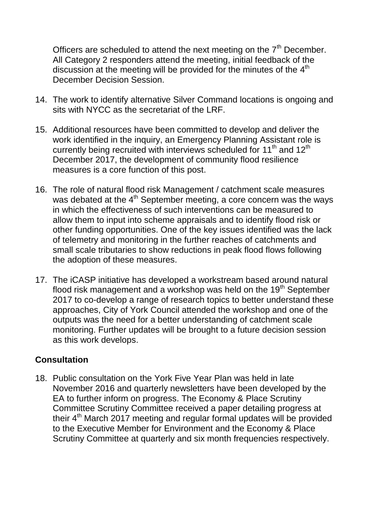Officers are scheduled to attend the next meeting on the  $7<sup>th</sup>$  December. All Category 2 responders attend the meeting, initial feedback of the discussion at the meeting will be provided for the minutes of the  $4<sup>th</sup>$ December Decision Session.

- 14. The work to identify alternative Silver Command locations is ongoing and sits with NYCC as the secretariat of the LRF.
- 15. Additional resources have been committed to develop and deliver the work identified in the inquiry, an Emergency Planning Assistant role is currently being recruited with interviews scheduled for 11<sup>th</sup> and 12<sup>th</sup> December 2017, the development of community flood resilience measures is a core function of this post.
- 16. The role of natural flood risk Management / catchment scale measures was debated at the  $4<sup>th</sup>$  September meeting, a core concern was the ways in which the effectiveness of such interventions can be measured to allow them to input into scheme appraisals and to identify flood risk or other funding opportunities. One of the key issues identified was the lack of telemetry and monitoring in the further reaches of catchments and small scale tributaries to show reductions in peak flood flows following the adoption of these measures.
- 17. The iCASP initiative has developed a workstream based around natural flood risk management and a workshop was held on the  $19<sup>th</sup>$  September 2017 to co-develop a range of research topics to better understand these approaches, City of York Council attended the workshop and one of the outputs was the need for a better understanding of catchment scale monitoring. Further updates will be brought to a future decision session as this work develops.

## **Consultation**

18. Public consultation on the York Five Year Plan was held in late November 2016 and quarterly newsletters have been developed by the EA to further inform on progress. The Economy & Place Scrutiny Committee Scrutiny Committee received a paper detailing progress at their 4<sup>th</sup> March 2017 meeting and regular formal updates will be provided to the Executive Member for Environment and the Economy & Place Scrutiny Committee at quarterly and six month frequencies respectively.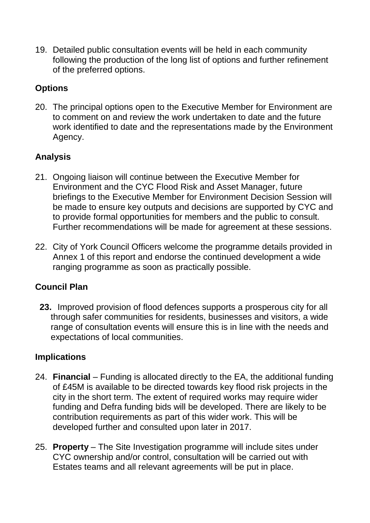19. Detailed public consultation events will be held in each community following the production of the long list of options and further refinement of the preferred options.

## **Options**

20. The principal options open to the Executive Member for Environment are to comment on and review the work undertaken to date and the future work identified to date and the representations made by the Environment Agency.

# **Analysis**

- 21. Ongoing liaison will continue between the Executive Member for Environment and the CYC Flood Risk and Asset Manager, future briefings to the Executive Member for Environment Decision Session will be made to ensure key outputs and decisions are supported by CYC and to provide formal opportunities for members and the public to consult. Further recommendations will be made for agreement at these sessions.
- 22. City of York Council Officers welcome the programme details provided in Annex 1 of this report and endorse the continued development a wide ranging programme as soon as practically possible.

## **Council Plan**

**23.** Improved provision of flood defences supports a prosperous city for all through safer communities for residents, businesses and visitors, a wide range of consultation events will ensure this is in line with the needs and expectations of local communities.

# **Implications**

- 24. **Financial** *–* Funding is allocated directly to the EA, the additional funding of £45M is available to be directed towards key flood risk projects in the city in the short term. The extent of required works may require wider funding and Defra funding bids will be developed. There are likely to be contribution requirements as part of this wider work. This will be developed further and consulted upon later in 2017.
- 25. **Property**  The Site Investigation programme will include sites under CYC ownership and/or control, consultation will be carried out with Estates teams and all relevant agreements will be put in place.